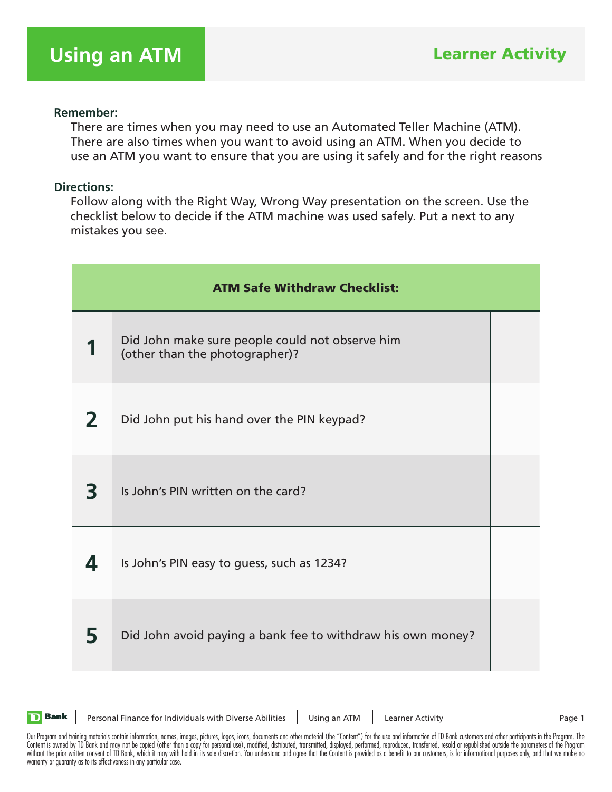## **Remember:**

 There are times when you may need to use an Automated Teller Machine (ATM). There are also times when you want to avoid using an ATM. When you decide to use an ATM you want to ensure that you are using it safely and for the right reasons

## **Directions:**

 Follow along with the Right Way, Wrong Way presentation on the screen. Use the checklist below to decide if the ATM machine was used safely. Put a next to any mistakes you see.

| <b>ATM Safe Withdraw Checklist:</b> |                                                                                   |  |
|-------------------------------------|-----------------------------------------------------------------------------------|--|
|                                     | Did John make sure people could not observe him<br>(other than the photographer)? |  |
| 2                                   | Did John put his hand over the PIN keypad?                                        |  |
| 3                                   | Is John's PIN written on the card?                                                |  |
| Δ.                                  | Is John's PIN easy to guess, such as 1234?                                        |  |
| 5                                   | Did John avoid paying a bank fee to withdraw his own money?                       |  |



Personal Finance for Individuals with Diverse Abilities | Using an ATM | Learner Activity | Page 1

Our Program and training materials contain information, names, images, pictures, logos, icons, documents and other material (the "Content") for the use and information of TD Bank customers and other participants in the Pro Content is owned by TD Bank and may not be copied (other than a copy for personal use), modified, distributed, transmitted, displayed, performed, reproduced, transferred, resold or republished outside the parameters of the without the prior written consent of TD Bank, which it may with hold in its sole discretion. You understand and agree that the Content is provided as a benefit to our customers, is for informational purposes only, and that warranty or guaranty as to its effectiveness in any particular case.